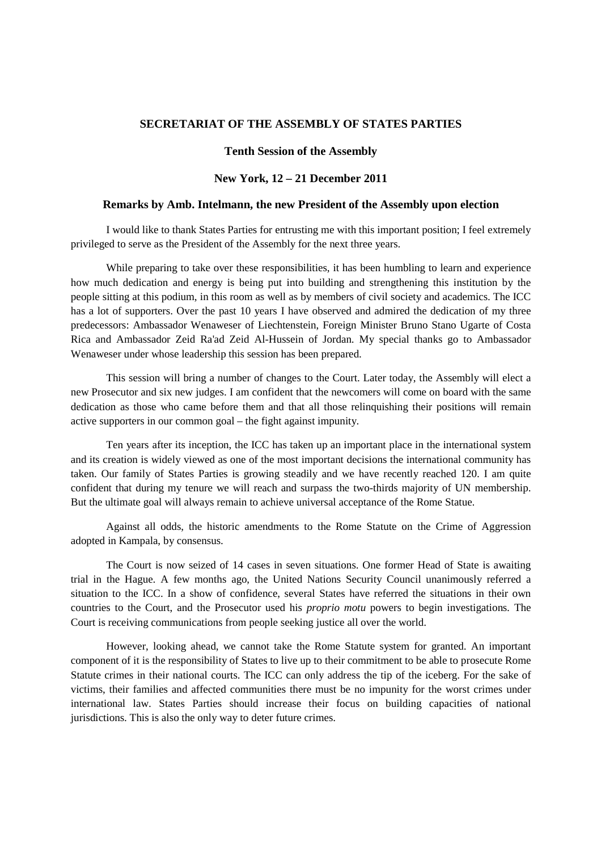## **SECRETARIAT OF THE ASSEMBLY OF STATES PARTIES**

## **Tenth Session of the Assembly**

## **New York, 12 – 21 December 2011**

## **Remarks by Amb. Intelmann, the new President of the Assembly upon election**

I would like to thank States Parties for entrusting me with this important position; I feel extremely privileged to serve as the President of the Assembly for the next three years.

While preparing to take over these responsibilities, it has been humbling to learn and experience how much dedication and energy is being put into building and strengthening this institution by the people sitting at this podium, in this room as well as by members of civil society and academics. The ICC has a lot of supporters. Over the past 10 years I have observed and admired the dedication of my three predecessors: Ambassador Wenaweser of Liechtenstein, Foreign Minister Bruno Stano Ugarte of Costa Rica and Ambassador Zeid Ra'ad Zeid Al-Hussein of Jordan. My special thanks go to Ambassador Wenaweser under whose leadership this session has been prepared.

This session will bring a number of changes to the Court. Later today, the Assembly will elect a new Prosecutor and six new judges. I am confident that the newcomers will come on board with the same dedication as those who came before them and that all those relinquishing their positions will remain active supporters in our common goal – the fight against impunity.

Ten years after its inception, the ICC has taken up an important place in the international system and its creation is widely viewed as one of the most important decisions the international community has taken. Our family of States Parties is growing steadily and we have recently reached 120. I am quite confident that during my tenure we will reach and surpass the two-thirds majority of UN membership. But the ultimate goal will always remain to achieve universal acceptance of the Rome Statue.

Against all odds, the historic amendments to the Rome Statute on the Crime of Aggression adopted in Kampala, by consensus.

The Court is now seized of 14 cases in seven situations. One former Head of State is awaiting trial in the Hague. A few months ago, the United Nations Security Council unanimously referred a situation to the ICC. In a show of confidence, several States have referred the situations in their own countries to the Court, and the Prosecutor used his *proprio motu* powers to begin investigations. The Court is receiving communications from people seeking justice all over the world.

However, looking ahead, we cannot take the Rome Statute system for granted. An important component of it is the responsibility of States to live up to their commitment to be able to prosecute Rome Statute crimes in their national courts. The ICC can only address the tip of the iceberg. For the sake of victims, their families and affected communities there must be no impunity for the worst crimes under international law. States Parties should increase their focus on building capacities of national jurisdictions. This is also the only way to deter future crimes.